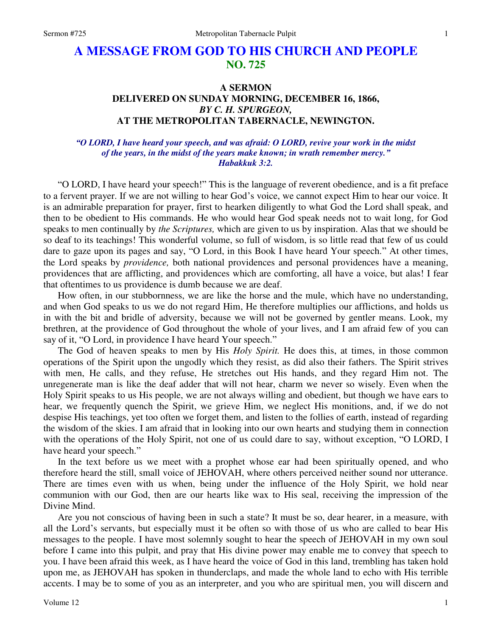## **A MESSAGE FROM GOD TO HIS CHURCH AND PEOPLE NO. 725**

## **A SERMON DELIVERED ON SUNDAY MORNING, DECEMBER 16, 1866,**  *BY C. H. SPURGEON,*  **AT THE METROPOLITAN TABERNACLE, NEWINGTON.**

## *"O LORD, I have heard your speech, and was afraid: O LORD, revive your work in the midst of the years, in the midst of the years make known; in wrath remember mercy." Habakkuk 3:2.*

"O LORD, I have heard your speech!" This is the language of reverent obedience, and is a fit preface to a fervent prayer. If we are not willing to hear God's voice, we cannot expect Him to hear our voice. It is an admirable preparation for prayer, first to hearken diligently to what God the Lord shall speak, and then to be obedient to His commands. He who would hear God speak needs not to wait long, for God speaks to men continually by *the Scriptures,* which are given to us by inspiration. Alas that we should be so deaf to its teachings! This wonderful volume, so full of wisdom, is so little read that few of us could dare to gaze upon its pages and say, "O Lord, in this Book I have heard Your speech." At other times, the Lord speaks by *providence,* both national providences and personal providences have a meaning, providences that are afflicting, and providences which are comforting, all have a voice, but alas! I fear that oftentimes to us providence is dumb because we are deaf.

How often, in our stubbornness, we are like the horse and the mule, which have no understanding, and when God speaks to us we do not regard Him, He therefore multiplies our afflictions, and holds us in with the bit and bridle of adversity, because we will not be governed by gentler means. Look, my brethren, at the providence of God throughout the whole of your lives, and I am afraid few of you can say of it, "O Lord, in providence I have heard Your speech."

The God of heaven speaks to men by His *Holy Spirit.* He does this, at times, in those common operations of the Spirit upon the ungodly which they resist, as did also their fathers. The Spirit strives with men, He calls, and they refuse, He stretches out His hands, and they regard Him not. The unregenerate man is like the deaf adder that will not hear, charm we never so wisely. Even when the Holy Spirit speaks to us His people, we are not always willing and obedient, but though we have ears to hear, we frequently quench the Spirit, we grieve Him, we neglect His monitions, and, if we do not despise His teachings, yet too often we forget them, and listen to the follies of earth, instead of regarding the wisdom of the skies. I am afraid that in looking into our own hearts and studying them in connection with the operations of the Holy Spirit, not one of us could dare to say, without exception, "O LORD, I have heard your speech."

In the text before us we meet with a prophet whose ear had been spiritually opened, and who therefore heard the still, small voice of JEHOVAH, where others perceived neither sound nor utterance. There are times even with us when, being under the influence of the Holy Spirit, we hold near communion with our God, then are our hearts like wax to His seal, receiving the impression of the Divine Mind.

Are you not conscious of having been in such a state? It must be so, dear hearer, in a measure, with all the Lord's servants, but especially must it be often so with those of us who are called to bear His messages to the people. I have most solemnly sought to hear the speech of JEHOVAH in my own soul before I came into this pulpit, and pray that His divine power may enable me to convey that speech to you. I have been afraid this week, as I have heard the voice of God in this land, trembling has taken hold upon me, as JEHOVAH has spoken in thunderclaps, and made the whole land to echo with His terrible accents. I may be to some of you as an interpreter, and you who are spiritual men, you will discern and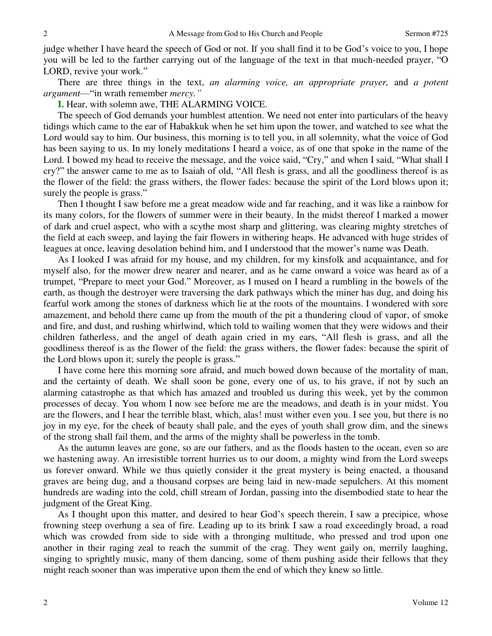judge whether I have heard the speech of God or not. If you shall find it to be God's voice to you, I hope you will be led to the farther carrying out of the language of the text in that much-needed prayer, "O LORD, revive your work."

There are three things in the text, *an alarming voice, an appropriate prayer,* and *a potent argument*—"in wrath remember *mercy."*

**I.** Hear, with solemn awe, THE ALARMING VOICE.

The speech of God demands your humblest attention. We need not enter into particulars of the heavy tidings which came to the ear of Habakkuk when he set him upon the tower, and watched to see what the Lord would say to him. Our business, this morning is to tell you, in all solemnity, what the voice of God has been saying to us. In my lonely meditations I heard a voice, as of one that spoke in the name of the Lord. I bowed my head to receive the message, and the voice said, "Cry," and when I said, "What shall I cry?" the answer came to me as to Isaiah of old, "All flesh is grass, and all the goodliness thereof is as the flower of the field: the grass withers, the flower fades: because the spirit of the Lord blows upon it; surely the people is grass."

Then I thought I saw before me a great meadow wide and far reaching, and it was like a rainbow for its many colors, for the flowers of summer were in their beauty. In the midst thereof I marked a mower of dark and cruel aspect, who with a scythe most sharp and glittering, was clearing mighty stretches of the field at each sweep, and laying the fair flowers in withering heaps. He advanced with huge strides of leagues at once, leaving desolation behind him, and I understood that the mower's name was Death.

As I looked I was afraid for my house, and my children, for my kinsfolk and acquaintance, and for myself also, for the mower drew nearer and nearer, and as he came onward a voice was heard as of a trumpet, "Prepare to meet your God." Moreover, as I mused on I heard a rumbling in the bowels of the earth, as though the destroyer were traversing the dark pathways which the miner has dug, and doing his fearful work among the stones of darkness which lie at the roots of the mountains. I wondered with sore amazement, and behold there came up from the mouth of the pit a thundering cloud of vapor, of smoke and fire, and dust, and rushing whirlwind, which told to wailing women that they were widows and their children fatherless, and the angel of death again cried in my ears, "All flesh is grass, and all the goodliness thereof is as the flower of the field: the grass withers, the flower fades: because the spirit of the Lord blows upon it; surely the people is grass."

I have come here this morning sore afraid, and much bowed down because of the mortality of man, and the certainty of death. We shall soon be gone, every one of us, to his grave, if not by such an alarming catastrophe as that which has amazed and troubled us during this week, yet by the common processes of decay. You whom I now see before me are the meadows, and death is in your midst. You are the flowers, and I hear the terrible blast, which, alas! must wither even you. I see you, but there is no joy in my eye, for the cheek of beauty shall pale, and the eyes of youth shall grow dim, and the sinews of the strong shall fail them, and the arms of the mighty shall be powerless in the tomb.

As the autumn leaves are gone, so are our fathers, and as the floods hasten to the ocean, even so are we hastening away. An irresistible torrent hurries us to our doom, a mighty wind from the Lord sweeps us forever onward. While we thus quietly consider it the great mystery is being enacted, a thousand graves are being dug, and a thousand corpses are being laid in new-made sepulchers. At this moment hundreds are wading into the cold, chill stream of Jordan, passing into the disembodied state to hear the judgment of the Great King.

As I thought upon this matter, and desired to hear God's speech therein, I saw a precipice, whose frowning steep overhung a sea of fire. Leading up to its brink I saw a road exceedingly broad, a road which was crowded from side to side with a thronging multitude, who pressed and trod upon one another in their raging zeal to reach the summit of the crag. They went gaily on, merrily laughing, singing to sprightly music, many of them dancing, some of them pushing aside their fellows that they might reach sooner than was imperative upon them the end of which they knew so little.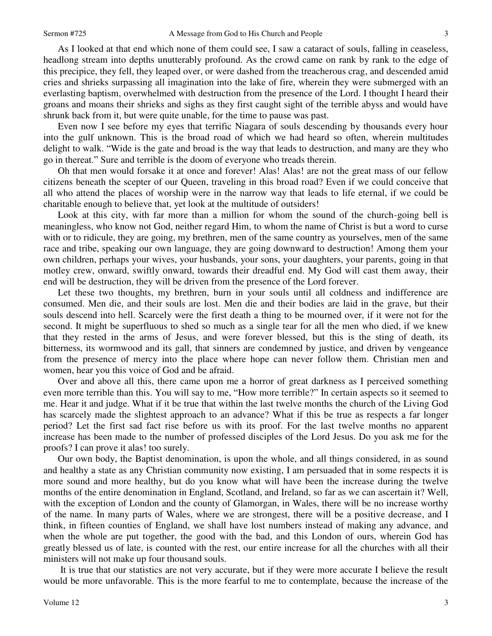3

As I looked at that end which none of them could see, I saw a cataract of souls, falling in ceaseless, headlong stream into depths unutterably profound. As the crowd came on rank by rank to the edge of this precipice, they fell, they leaped over, or were dashed from the treacherous crag, and descended amid cries and shrieks surpassing all imagination into the lake of fire, wherein they were submerged with an everlasting baptism, overwhelmed with destruction from the presence of the Lord. I thought I heard their groans and moans their shrieks and sighs as they first caught sight of the terrible abyss and would have shrunk back from it, but were quite unable, for the time to pause was past.

Even now I see before my eyes that terrific Niagara of souls descending by thousands every hour into the gulf unknown. This is the broad road of which we had heard so often, wherein multitudes delight to walk. "Wide is the gate and broad is the way that leads to destruction, and many are they who go in thereat." Sure and terrible is the doom of everyone who treads therein.

Oh that men would forsake it at once and forever! Alas! Alas! are not the great mass of our fellow citizens beneath the scepter of our Queen, traveling in this broad road? Even if we could conceive that all who attend the places of worship were in the narrow way that leads to life eternal, if we could be charitable enough to believe that, yet look at the multitude of outsiders!

Look at this city, with far more than a million for whom the sound of the church-going bell is meaningless, who know not God, neither regard Him, to whom the name of Christ is but a word to curse with or to ridicule, they are going, my brethren, men of the same country as yourselves, men of the same race and tribe, speaking our own language, they are going downward to destruction! Among them your own children, perhaps your wives, your husbands, your sons, your daughters, your parents, going in that motley crew, onward, swiftly onward, towards their dreadful end. My God will cast them away, their end will be destruction, they will be driven from the presence of the Lord forever.

Let these two thoughts, my brethren, burn in your souls until all coldness and indifference are consumed. Men die, and their souls are lost. Men die and their bodies are laid in the grave, but their souls descend into hell. Scarcely were the first death a thing to be mourned over, if it were not for the second. It might be superfluous to shed so much as a single tear for all the men who died, if we knew that they rested in the arms of Jesus, and were forever blessed, but this is the sting of death, its bitterness, its wormwood and its gall, that sinners are condemned by justice, and driven by vengeance from the presence of mercy into the place where hope can never follow them. Christian men and women, hear you this voice of God and be afraid.

Over and above all this, there came upon me a horror of great darkness as I perceived something even more terrible than this. You will say to me, "How more terrible?" In certain aspects so it seemed to me. Hear it and judge. What if it be true that within the last twelve months the church of the Living God has scarcely made the slightest approach to an advance? What if this be true as respects a far longer period? Let the first sad fact rise before us with its proof. For the last twelve months no apparent increase has been made to the number of professed disciples of the Lord Jesus. Do you ask me for the proofs? I can prove it alas! too surely.

Our own body, the Baptist denomination, is upon the whole, and all things considered, in as sound and healthy a state as any Christian community now existing, I am persuaded that in some respects it is more sound and more healthy, but do you know what will have been the increase during the twelve months of the entire denomination in England, Scotland, and Ireland, so far as we can ascertain it? Well, with the exception of London and the county of Glamorgan, in Wales, there will be no increase worthy of the name. In many parts of Wales, where we are strongest, there will be a positive decrease, and I think, in fifteen counties of England, we shall have lost numbers instead of making any advance, and when the whole are put together, the good with the bad, and this London of ours, wherein God has greatly blessed us of late, is counted with the rest, our entire increase for all the churches with all their ministers will not make up four thousand souls.

 It is true that our statistics are not very accurate, but if they were more accurate I believe the result would be more unfavorable. This is the more fearful to me to contemplate, because the increase of the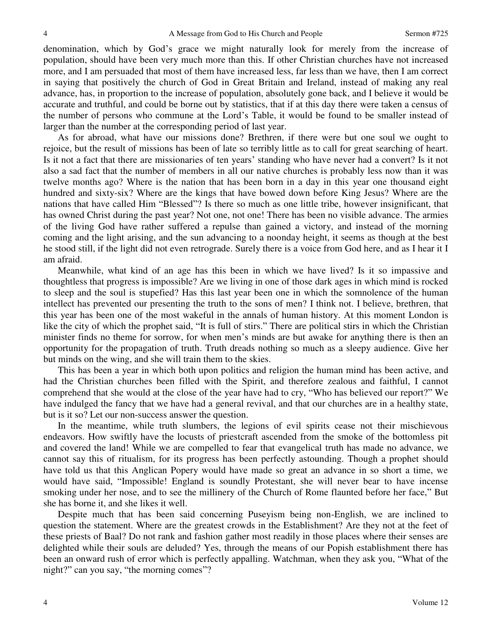denomination, which by God's grace we might naturally look for merely from the increase of population, should have been very much more than this. If other Christian churches have not increased more, and I am persuaded that most of them have increased less, far less than we have, then I am correct in saying that positively the church of God in Great Britain and Ireland, instead of making any real advance, has, in proportion to the increase of population, absolutely gone back, and I believe it would be accurate and truthful, and could be borne out by statistics, that if at this day there were taken a census of the number of persons who commune at the Lord's Table, it would be found to be smaller instead of larger than the number at the corresponding period of last year.

As for abroad, what have our missions done? Brethren, if there were but one soul we ought to rejoice, but the result of missions has been of late so terribly little as to call for great searching of heart. Is it not a fact that there are missionaries of ten years' standing who have never had a convert? Is it not also a sad fact that the number of members in all our native churches is probably less now than it was twelve months ago? Where is the nation that has been born in a day in this year one thousand eight hundred and sixty-six? Where are the kings that have bowed down before King Jesus? Where are the nations that have called Him "Blessed"? Is there so much as one little tribe, however insignificant, that has owned Christ during the past year? Not one, not one! There has been no visible advance. The armies of the living God have rather suffered a repulse than gained a victory, and instead of the morning coming and the light arising, and the sun advancing to a noonday height, it seems as though at the best he stood still, if the light did not even retrograde. Surely there is a voice from God here, and as I hear it I am afraid.

Meanwhile, what kind of an age has this been in which we have lived? Is it so impassive and thoughtless that progress is impossible? Are we living in one of those dark ages in which mind is rocked to sleep and the soul is stupefied? Has this last year been one in which the somnolence of the human intellect has prevented our presenting the truth to the sons of men? I think not. I believe, brethren, that this year has been one of the most wakeful in the annals of human history. At this moment London is like the city of which the prophet said, "It is full of stirs." There are political stirs in which the Christian minister finds no theme for sorrow, for when men's minds are but awake for anything there is then an opportunity for the propagation of truth. Truth dreads nothing so much as a sleepy audience. Give her but minds on the wing, and she will train them to the skies.

This has been a year in which both upon politics and religion the human mind has been active, and had the Christian churches been filled with the Spirit, and therefore zealous and faithful, I cannot comprehend that she would at the close of the year have had to cry, "Who has believed our report?" We have indulged the fancy that we have had a general revival, and that our churches are in a healthy state, but is it so? Let our non-success answer the question.

In the meantime, while truth slumbers, the legions of evil spirits cease not their mischievous endeavors. How swiftly have the locusts of priestcraft ascended from the smoke of the bottomless pit and covered the land! While we are compelled to fear that evangelical truth has made no advance, we cannot say this of ritualism, for its progress has been perfectly astounding. Though a prophet should have told us that this Anglican Popery would have made so great an advance in so short a time, we would have said, "Impossible! England is soundly Protestant, she will never bear to have incense smoking under her nose, and to see the millinery of the Church of Rome flaunted before her face," But she has borne it, and she likes it well.

Despite much that has been said concerning Puseyism being non-English, we are inclined to question the statement. Where are the greatest crowds in the Establishment? Are they not at the feet of these priests of Baal? Do not rank and fashion gather most readily in those places where their senses are delighted while their souls are deluded? Yes, through the means of our Popish establishment there has been an onward rush of error which is perfectly appalling. Watchman, when they ask you, "What of the night?" can you say, "the morning comes"?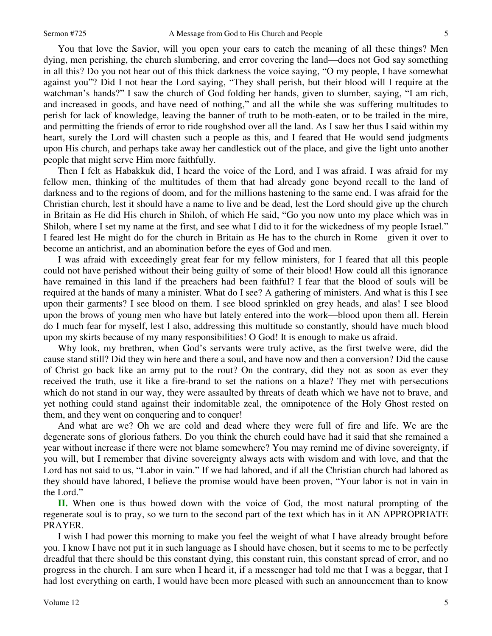You that love the Savior, will you open your ears to catch the meaning of all these things? Men dying, men perishing, the church slumbering, and error covering the land—does not God say something in all this? Do you not hear out of this thick darkness the voice saying, "O my people, I have somewhat against you"? Did I not hear the Lord saying, "They shall perish, but their blood will I require at the watchman's hands?" I saw the church of God folding her hands, given to slumber, saying, "I am rich, and increased in goods, and have need of nothing," and all the while she was suffering multitudes to perish for lack of knowledge, leaving the banner of truth to be moth-eaten, or to be trailed in the mire, and permitting the friends of error to ride roughshod over all the land. As I saw her thus I said within my heart, surely the Lord will chasten such a people as this, and I feared that He would send judgments upon His church, and perhaps take away her candlestick out of the place, and give the light unto another people that might serve Him more faithfully.

Then I felt as Habakkuk did, I heard the voice of the Lord, and I was afraid. I was afraid for my fellow men, thinking of the multitudes of them that had already gone beyond recall to the land of darkness and to the regions of doom, and for the millions hastening to the same end. I was afraid for the Christian church, lest it should have a name to live and be dead, lest the Lord should give up the church in Britain as He did His church in Shiloh, of which He said, "Go you now unto my place which was in Shiloh, where I set my name at the first, and see what I did to it for the wickedness of my people Israel." I feared lest He might do for the church in Britain as He has to the church in Rome—given it over to become an antichrist, and an abomination before the eyes of God and men.

I was afraid with exceedingly great fear for my fellow ministers, for I feared that all this people could not have perished without their being guilty of some of their blood! How could all this ignorance have remained in this land if the preachers had been faithful? I fear that the blood of souls will be required at the hands of many a minister. What do I see? A gathering of ministers. And what is this I see upon their garments? I see blood on them. I see blood sprinkled on grey heads, and alas! I see blood upon the brows of young men who have but lately entered into the work—blood upon them all. Herein do I much fear for myself, lest I also, addressing this multitude so constantly, should have much blood upon my skirts because of my many responsibilities! O God! It is enough to make us afraid.

Why look, my brethren, when God's servants were truly active, as the first twelve were, did the cause stand still? Did they win here and there a soul, and have now and then a conversion? Did the cause of Christ go back like an army put to the rout? On the contrary, did they not as soon as ever they received the truth, use it like a fire-brand to set the nations on a blaze? They met with persecutions which do not stand in our way, they were assaulted by threats of death which we have not to brave, and yet nothing could stand against their indomitable zeal, the omnipotence of the Holy Ghost rested on them, and they went on conquering and to conquer!

And what are we? Oh we are cold and dead where they were full of fire and life. We are the degenerate sons of glorious fathers. Do you think the church could have had it said that she remained a year without increase if there were not blame somewhere? You may remind me of divine sovereignty, if you will, but I remember that divine sovereignty always acts with wisdom and with love, and that the Lord has not said to us, "Labor in vain." If we had labored, and if all the Christian church had labored as they should have labored, I believe the promise would have been proven, "Your labor is not in vain in the Lord."

**II.** When one is thus bowed down with the voice of God, the most natural prompting of the regenerate soul is to pray, so we turn to the second part of the text which has in it AN APPROPRIATE PRAYER.

I wish I had power this morning to make you feel the weight of what I have already brought before you. I know I have not put it in such language as I should have chosen, but it seems to me to be perfectly dreadful that there should be this constant dying, this constant ruin, this constant spread of error, and no progress in the church. I am sure when I heard it, if a messenger had told me that I was a beggar, that I had lost everything on earth, I would have been more pleased with such an announcement than to know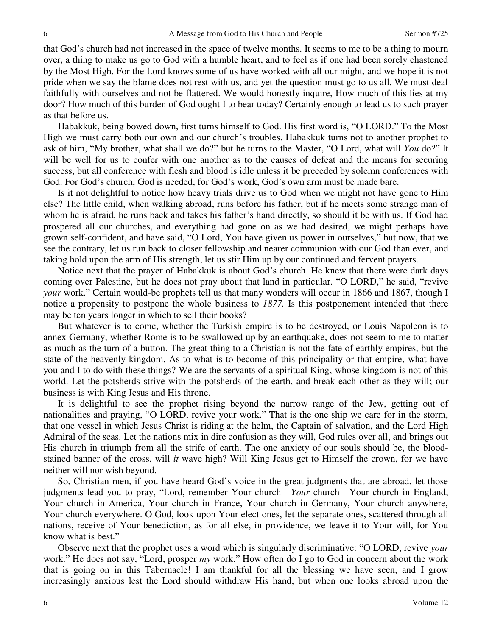that God's church had not increased in the space of twelve months. It seems to me to be a thing to mourn over, a thing to make us go to God with a humble heart, and to feel as if one had been sorely chastened by the Most High. For the Lord knows some of us have worked with all our might, and we hope it is not pride when we say the blame does not rest with us, and yet the question must go to us all. We must deal faithfully with ourselves and not be flattered. We would honestly inquire, How much of this lies at my door? How much of this burden of God ought I to bear today? Certainly enough to lead us to such prayer as that before us.

Habakkuk, being bowed down, first turns himself to God. His first word is, "O LORD." To the Most High we must carry both our own and our church's troubles. Habakkuk turns not to another prophet to ask of him, "My brother, what shall we do?" but he turns to the Master, "O Lord, what will *You* do?" It will be well for us to confer with one another as to the causes of defeat and the means for securing success, but all conference with flesh and blood is idle unless it be preceded by solemn conferences with God. For God's church, God is needed, for God's work, God's own arm must be made bare.

Is it not delightful to notice how heavy trials drive us to God when we might not have gone to Him else? The little child, when walking abroad, runs before his father, but if he meets some strange man of whom he is afraid, he runs back and takes his father's hand directly, so should it be with us. If God had prospered all our churches, and everything had gone on as we had desired, we might perhaps have grown self-confident, and have said, "O Lord, You have given us power in ourselves," but now, that we see the contrary, let us run back to closer fellowship and nearer communion with our God than ever, and taking hold upon the arm of His strength, let us stir Him up by our continued and fervent prayers.

Notice next that the prayer of Habakkuk is about God's church. He knew that there were dark days coming over Palestine, but he does not pray about that land in particular. "O LORD," he said, "revive *your* work." Certain would-be prophets tell us that many wonders will occur in 1866 and 1867, though I notice a propensity to postpone the whole business to *1877.* Is this postponement intended that there may be ten years longer in which to sell their books?

But whatever is to come, whether the Turkish empire is to be destroyed, or Louis Napoleon is to annex Germany, whether Rome is to be swallowed up by an earthquake, does not seem to me to matter as much as the turn of a button. The great thing to a Christian is not the fate of earthly empires, but the state of the heavenly kingdom. As to what is to become of this principality or that empire, what have you and I to do with these things? We are the servants of a spiritual King, whose kingdom is not of this world. Let the potsherds strive with the potsherds of the earth, and break each other as they will; our business is with King Jesus and His throne.

It is delightful to see the prophet rising beyond the narrow range of the Jew, getting out of nationalities and praying, "O LORD, revive your work." That is the one ship we care for in the storm, that one vessel in which Jesus Christ is riding at the helm, the Captain of salvation, and the Lord High Admiral of the seas. Let the nations mix in dire confusion as they will, God rules over all, and brings out His church in triumph from all the strife of earth. The one anxiety of our souls should be, the bloodstained banner of the cross, will *it* wave high? Will King Jesus get to Himself the crown, for we have neither will nor wish beyond.

So, Christian men, if you have heard God's voice in the great judgments that are abroad, let those judgments lead you to pray, "Lord, remember Your church—*Your* church—Your church in England, Your church in America, Your church in France, Your church in Germany, Your church anywhere, Your church everywhere. O God, look upon Your elect ones, let the separate ones, scattered through all nations, receive of Your benediction, as for all else, in providence, we leave it to Your will, for You know what is best."

Observe next that the prophet uses a word which is singularly discriminative: "O LORD, revive *your* work." He does not say, "Lord, prosper *my* work." How often do I go to God in concern about the work that is going on in this Tabernacle! I am thankful for all the blessing we have seen, and I grow increasingly anxious lest the Lord should withdraw His hand, but when one looks abroad upon the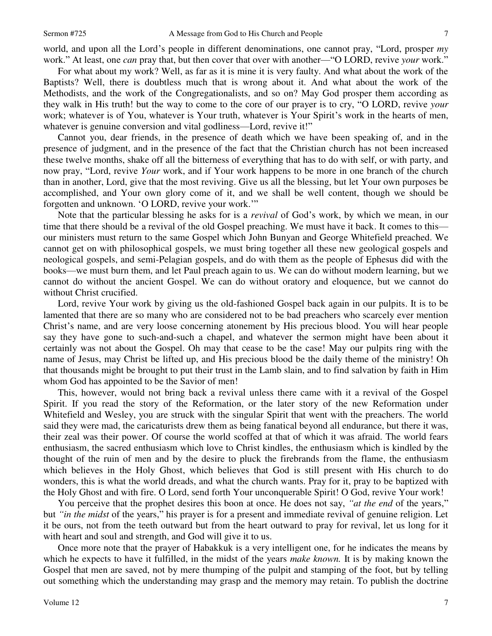world, and upon all the Lord's people in different denominations, one cannot pray, "Lord, prosper *my* work." At least, one *can* pray that, but then cover that over with another—"O LORD, revive *your* work."

For what about my work? Well, as far as it is mine it is very faulty. And what about the work of the Baptists? Well, there is doubtless much that is wrong about it. And what about the work of the Methodists, and the work of the Congregationalists, and so on? May God prosper them according as they walk in His truth! but the way to come to the core of our prayer is to cry, "O LORD, revive *your* work; whatever is of You, whatever is Your truth, whatever is Your Spirit's work in the hearts of men, whatever is genuine conversion and vital godliness—Lord, revive it!"

Cannot you, dear friends, in the presence of death which we have been speaking of, and in the presence of judgment, and in the presence of the fact that the Christian church has not been increased these twelve months, shake off all the bitterness of everything that has to do with self, or with party, and now pray, "Lord, revive *Your* work, and if Your work happens to be more in one branch of the church than in another, Lord, give that the most reviving. Give us all the blessing, but let Your own purposes be accomplished, and Your own glory come of it, and we shall be well content, though we should be forgotten and unknown. 'O LORD, revive your work.'"

Note that the particular blessing he asks for is a *revival* of God's work, by which we mean, in our time that there should be a revival of the old Gospel preaching. We must have it back. It comes to this our ministers must return to the same Gospel which John Bunyan and George Whitefield preached. We cannot get on with philosophical gospels, we must bring together all these new geological gospels and neological gospels, and semi-Pelagian gospels, and do with them as the people of Ephesus did with the books—we must burn them, and let Paul preach again to us. We can do without modern learning, but we cannot do without the ancient Gospel. We can do without oratory and eloquence, but we cannot do without Christ crucified.

Lord, revive Your work by giving us the old-fashioned Gospel back again in our pulpits. It is to be lamented that there are so many who are considered not to be bad preachers who scarcely ever mention Christ's name, and are very loose concerning atonement by His precious blood. You will hear people say they have gone to such-and-such a chapel, and whatever the sermon might have been about it certainly was not about the Gospel. Oh may that cease to be the case! May our pulpits ring with the name of Jesus, may Christ be lifted up, and His precious blood be the daily theme of the ministry! Oh that thousands might be brought to put their trust in the Lamb slain, and to find salvation by faith in Him whom God has appointed to be the Savior of men!

This, however, would not bring back a revival unless there came with it a revival of the Gospel Spirit. If you read the story of the Reformation, or the later story of the new Reformation under Whitefield and Wesley, you are struck with the singular Spirit that went with the preachers. The world said they were mad, the caricaturists drew them as being fanatical beyond all endurance, but there it was, their zeal was their power. Of course the world scoffed at that of which it was afraid. The world fears enthusiasm, the sacred enthusiasm which love to Christ kindles, the enthusiasm which is kindled by the thought of the ruin of men and by the desire to pluck the firebrands from the flame, the enthusiasm which believes in the Holy Ghost, which believes that God is still present with His church to do wonders, this is what the world dreads, and what the church wants. Pray for it, pray to be baptized with the Holy Ghost and with fire. O Lord, send forth Your unconquerable Spirit! O God, revive Your work!

You perceive that the prophet desires this boon at once. He does not say, *"at the end* of the years," but *"in the midst* of the years," his prayer is for a present and immediate revival of genuine religion. Let it be ours, not from the teeth outward but from the heart outward to pray for revival, let us long for it with heart and soul and strength, and God will give it to us.

Once more note that the prayer of Habakkuk is a very intelligent one, for he indicates the means by which he expects to have it fulfilled, in the midst of the years *make known.* It is by making known the Gospel that men are saved, not by mere thumping of the pulpit and stamping of the foot, but by telling out something which the understanding may grasp and the memory may retain. To publish the doctrine